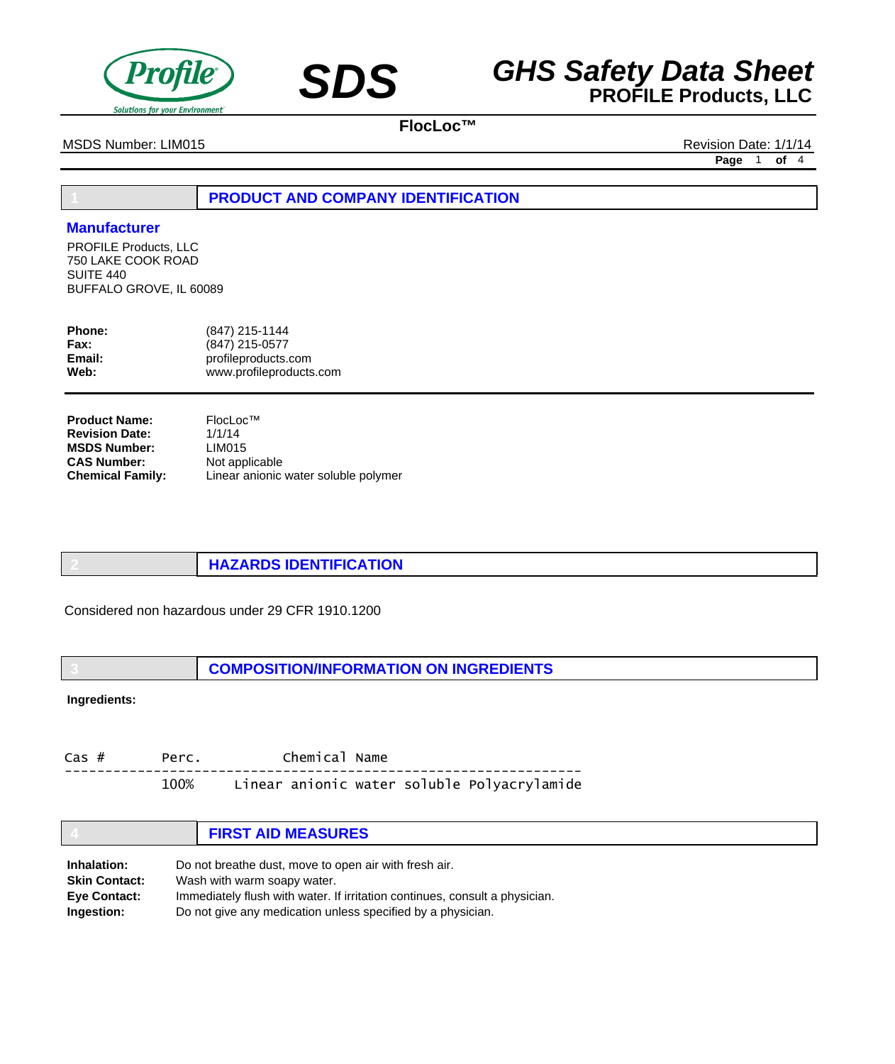



MSDS Number: LIM015 **Revision Date: 1/1/14** Revision Date: 1/1/14

**Page** 1 **of** 4

# **1 PRODUCT AND COMPANY IDENTIFICATION**

## **Manufacturer**

PROFILE Products, LLC 750 LAKE COOK ROAD SUITE 440 BUFFALO GROVE, IL 60089

| <b>Phone:</b> | (847) 215-1144          |
|---------------|-------------------------|
| Fax:          | (847) 215-0577          |
| Email:        | profileproducts.com     |
| Web:          | www.profileproducts.com |

| <b>Product Name:</b>    | Flocloc <sup>TM</sup>                |
|-------------------------|--------------------------------------|
| <b>Revision Date:</b>   | 1/1/14                               |
| <b>MSDS Number:</b>     | LIM015                               |
| <b>CAS Number:</b>      | Not applicable                       |
| <b>Chemical Family:</b> | Linear anionic water soluble polymer |

**2 HAZARDS IDENTIFICATION**

Considered non hazardous under 29 CFR 1910.1200

**3 COMPOSITION/INFORMATION ON INGREDIENTS**

**Ingredients:**

Cas # Perc. Chemical Name ---------------------------------------------------------------- 100% Linear anionic water soluble Polyacrylamide

|                      | <b>FIRST AID MEASURES</b>                                                   |  |
|----------------------|-----------------------------------------------------------------------------|--|
| Inhalation:          | Do not breathe dust, move to open air with fresh air.                       |  |
| <b>Skin Contact:</b> | Wash with warm soapy water.                                                 |  |
| <b>Eve Contact:</b>  | Immediately flush with water. If irritation continues, consult a physician. |  |
| Ingestion:           | Do not give any medication unless specified by a physician.                 |  |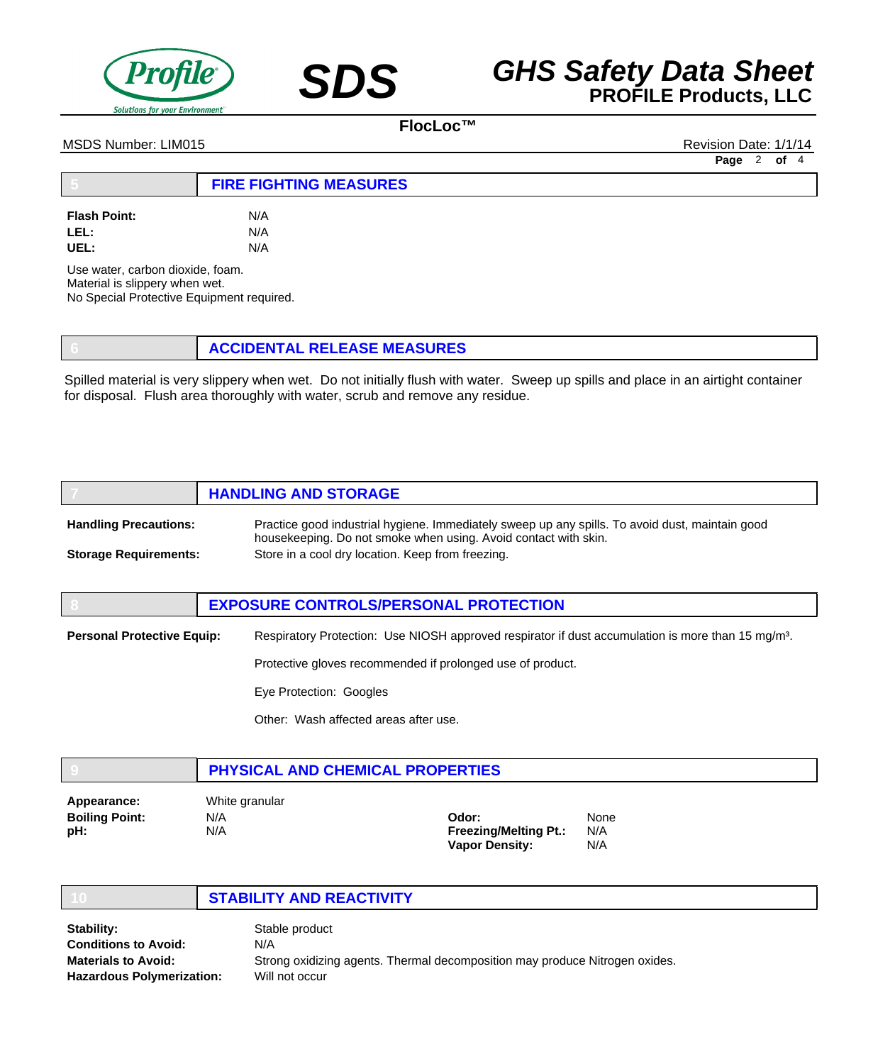



#### MSDS Number: LIM015 Revision Date: 1/1/14

**Page** 2 **of** 4

|                             | <b>FIRE FIGHTING MEASURES</b> |  |
|-----------------------------|-------------------------------|--|
| <b>Flash Point:</b><br>LEL: | N/A<br>N/A                    |  |

Use water, carbon dioxide, foam. Material is slippery when wet. No Special Protective Equipment required.

**UEL:** N/A

**6 ACCIDENTAL RELEASE MEASURES**

Spilled material is very slippery when wet. Do not initially flush with water. Sweep up spills and place in an airtight container for disposal. Flush area thoroughly with water, scrub and remove any residue.

|                              | <b>HANDLING AND STORAGE</b>                                                                                                                                        |
|------------------------------|--------------------------------------------------------------------------------------------------------------------------------------------------------------------|
| <b>Handling Precautions:</b> | Practice good industrial hygiene. Immediately sweep up any spills. To avoid dust, maintain good<br>housekeeping. Do not smoke when using. Avoid contact with skin. |
| <b>Storage Requirements:</b> | Store in a cool dry location. Keep from freezing.                                                                                                                  |

|                                   | <b>EXPOSURE CONTROLS/PERSONAL PROTECTION</b>                                                                   |
|-----------------------------------|----------------------------------------------------------------------------------------------------------------|
| <b>Personal Protective Equip:</b> | Respiratory Protection: Use NIOSH approved respirator if dust accumulation is more than 15 mg/m <sup>3</sup> . |
|                                   | Protective gloves recommended if prolonged use of product.                                                     |
|                                   | Eye Protection: Googles                                                                                        |
|                                   | Other: Wash affected areas after use.                                                                          |

|             | PHYSICAL AND CHEMICAL PROPERTIES |  |
|-------------|----------------------------------|--|
| Appearance: | White granular                   |  |
| ______      | .                                |  |

**Boiling Point: pH:**

N/A N/A

**Odor: Freezing/Melting Pt.: Vapor Density:** None N/A N/A

## **10 STABILITY AND REACTIVITY**

Stable product N/A Strong oxidizing agents. Thermal decomposition may produce Nitrogen oxides. Will not occur **Stability: Conditions to Avoid: Materials to Avoid: Hazardous Polymerization:**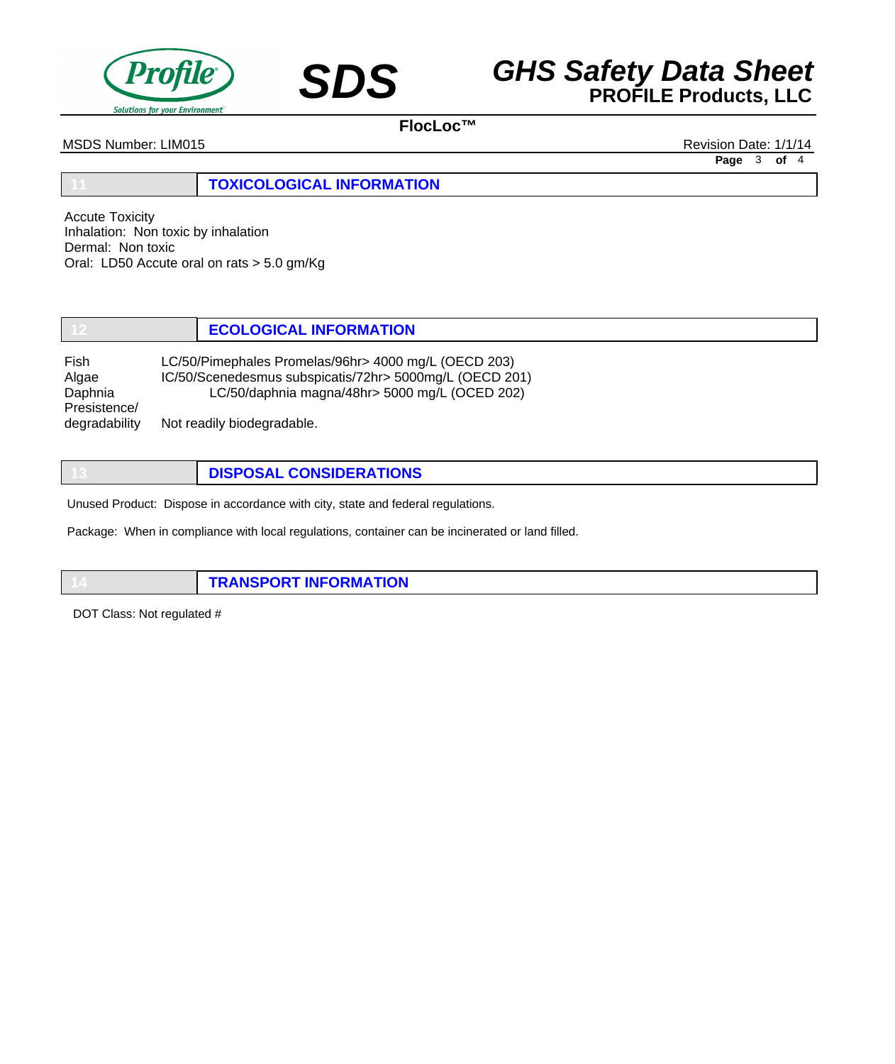



MSDS Number: LIM015 **Revision Date: 1/1/14** Revision Date: 1/1/14

**11 TOXICOLOGICAL INFORMATION**

Accute Toxicity Inhalation: Non toxic by inhalation Dermal: Non toxic Oral: LD50 Accute oral on rats > 5.0 gm/Kg

**12 ECOLOGICAL INFORMATION**

Fish LC/50/Pimephales Promelas/96hr> 4000 mg/L (OECD 203) Algae IC/50/Scenedesmus subspicatis/72hr> 5000mg/L (OECD 201) Daphnia LC/50/daphnia magna/48hr> 5000 mg/L (OCED 202) Presistence/ degradability Not readily biodegradable.

**13 DISPOSAL CONSIDERATIONS**

Unused Product: Dispose in accordance with city, state and federal regulations.

Package: When in compliance with local regulations, container can be incinerated or land filled.

**14 TRANSPORT INFORMATION**

DOT Class: Not regulated #

**Page** 3 **of** 4